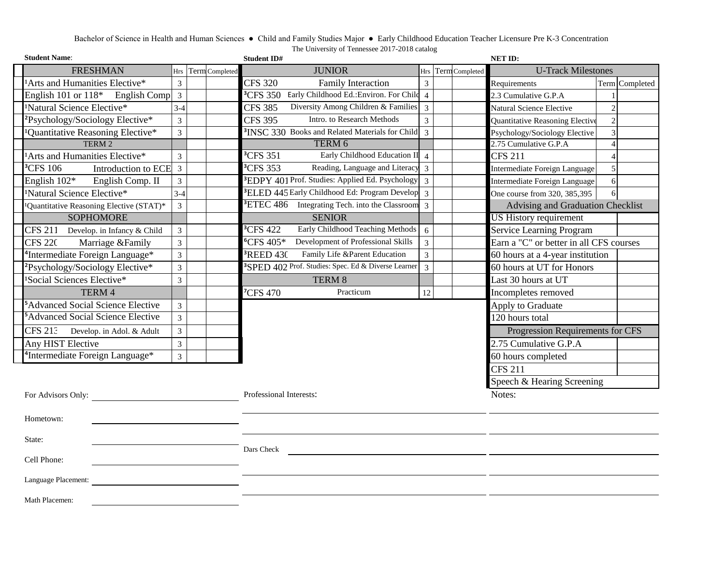# Bachelor of Science in Health and Human Sciences ● Child and Family Studies Major ● Early Childhood Education Teacher Licensure Pre K-3 Concentration The University of Tennessee 2017-2018 catalog

| <b>Student Name:</b>                             |                                                      |                |  | <b>Student ID#</b> |                         |                                                                 |                                  | NET ID:                    |                                         |                         |
|--------------------------------------------------|------------------------------------------------------|----------------|--|--------------------|-------------------------|-----------------------------------------------------------------|----------------------------------|----------------------------|-----------------------------------------|-------------------------|
|                                                  | <b>FRESHMAN</b>                                      | Hrs            |  | Term Completed     |                         | <b>JUNIOR</b>                                                   | <b>Hrs</b>                       | Term Completed             | <b>U-Track Milestones</b>               |                         |
|                                                  | <sup>1</sup> Arts and Humanities Elective*           | $\overline{3}$ |  |                    | <b>CFS 320</b>          | Family Interaction                                              | $\overline{3}$                   |                            | Requirements                            | Term Completed          |
|                                                  | English 101 or $118*$ English Comp                   | $\overline{3}$ |  |                    | <sup>3</sup> CFS 350    | Early Childhood Ed.: Environ. For Child                         | $\overline{4}$                   |                            | 2.3 Cumulative G.P.A                    |                         |
|                                                  | <sup>1</sup> Natural Science Elective*               | $3 - 4$        |  |                    | CFS $385$               | Diversity Among Children & Families                             | $\overline{3}$                   |                            | Natural Science Elective                | $\overline{2}$          |
|                                                  | <sup>2</sup> Psychology/Sociology Elective*          | 3              |  |                    | <b>CFS 395</b>          | Intro. to Research Methods                                      | $\overline{3}$                   |                            | Quantitative Reasoning Elective         | $\overline{c}$          |
|                                                  | <sup>1</sup> Quantitative Reasoning Elective*        | $\overline{3}$ |  |                    |                         | <sup>3</sup> INSC 330 Books and Related Materials for Child     | $\overline{3}$                   |                            | Psychology/Sociology Elective           | 3                       |
|                                                  | TERM 2                                               |                |  |                    |                         | TERM 6                                                          |                                  |                            | 2.75 Cumulative G.P.A                   | $\overline{\mathbf{A}}$ |
|                                                  | <sup>1</sup> Arts and Humanities Elective*           | 3              |  |                    | <sup>3</sup> CFS 351    | Early Childhood Education II                                    | $\overline{4}$                   |                            | <b>CFS 211</b>                          |                         |
|                                                  | <sup>3</sup> CFS 106<br>Introduction to ECE          | 3              |  |                    | <sup>3</sup> CFS 353    | Reading, Language and Literacy 3                                |                                  |                            | Intermediate Foreign Language           | 5                       |
|                                                  | English 102*<br>English Comp. II                     | $\overline{3}$ |  |                    |                         | <sup>3</sup> EDPY 401 Prof. Studies: Applied Ed. Psychology     | $\overline{3}$                   |                            | Intermediate Foreign Language           | 6                       |
|                                                  | <sup>1</sup> Natural Science Elective*               | $3-4$          |  |                    |                         | <sup>3</sup> ELED 445 Early Childhood Ed: Program Develop       | $\overline{3}$                   |                            | One course from 320, 385,395            | 6                       |
|                                                  | <sup>1</sup> Quantitative Reasoning Elective (STAT)* | $\overline{3}$ |  |                    |                         | <sup>3</sup> ETEC 486 Integrating Tech. into the Classroom      | $\overline{3}$                   |                            | Advising and Graduation Checklist       |                         |
|                                                  | <b>SOPHOMORE</b>                                     |                |  |                    |                         | <b>SENIOR</b>                                                   |                                  |                            | <b>US History requirement</b>           |                         |
|                                                  | <b>CFS 211</b><br>Develop. in Infancy & Child        | $\mathfrak{Z}$ |  |                    | <sup>3</sup> CFS 422    | Early Childhood Teaching Methods                                | 6                                |                            | <b>Service Learning Program</b>         |                         |
|                                                  | <b>CFS 220</b><br>Marriage & Family                  | 3              |  |                    | ${}^6CFS 405*$          | Development of Professional Skills                              | $\overline{3}$                   |                            | Earn a "C" or better in all CFS courses |                         |
|                                                  | <sup>4</sup> Intermediate Foreign Language*          | $\overline{3}$ |  |                    | <sup>3</sup> REED 430   | Family Life &Parent Education                                   | $\overline{3}$                   |                            | 60 hours at a 4-year institution        |                         |
|                                                  | <sup>2</sup> Psychology/Sociology Elective*          | $\overline{3}$ |  |                    |                         | <sup>3</sup> SPED 402 Prof. Studies: Spec. Ed & Diverse Learner | $\overline{3}$                   |                            | 60 hours at UT for Honors               |                         |
|                                                  | <sup>1</sup> Social Sciences Elective*               | $\overline{3}$ |  |                    |                         | TERM 8                                                          |                                  |                            | Last 30 hours at UT                     |                         |
|                                                  | TERM 4                                               |                |  |                    | <sup>7</sup> CFS 470    | Practicum                                                       | 12                               |                            | Incompletes removed                     |                         |
|                                                  | <sup>5</sup> Advanced Social Science Elective        | $\overline{3}$ |  |                    |                         |                                                                 |                                  |                            | Apply to Graduate                       |                         |
|                                                  | <sup>5</sup> Advanced Social Science Elective        | $\overline{3}$ |  |                    |                         |                                                                 |                                  |                            | 120 hours total                         |                         |
| <b>CFS 213</b><br>3<br>Develop. in Adol. & Adult |                                                      |                |  |                    |                         |                                                                 | Progression Requirements for CFS |                            |                                         |                         |
|                                                  | Any HIST Elective                                    | $\overline{3}$ |  |                    |                         |                                                                 |                                  |                            | 2.75 Cumulative G.P.A                   |                         |
|                                                  | <sup>4</sup> Intermediate Foreign Language*          | $\overline{3}$ |  |                    |                         |                                                                 |                                  |                            | 60 hours completed                      |                         |
|                                                  |                                                      |                |  |                    |                         |                                                                 | <b>CFS 211</b>                   |                            |                                         |                         |
|                                                  |                                                      |                |  |                    |                         |                                                                 |                                  | Speech & Hearing Screening |                                         |                         |
|                                                  | For Advisors Only:                                   |                |  |                    | Professional Interests: |                                                                 |                                  | Notes:                     |                                         |                         |
|                                                  |                                                      |                |  |                    |                         |                                                                 |                                  |                            |                                         |                         |
| Hometown:                                        |                                                      |                |  |                    |                         |                                                                 |                                  |                            |                                         |                         |
| State:                                           |                                                      |                |  |                    |                         |                                                                 |                                  |                            |                                         |                         |
| Cell Phone:                                      |                                                      |                |  | Dars Check         |                         |                                                                 |                                  |                            |                                         |                         |
| Language Placement:                              |                                                      |                |  |                    |                         |                                                                 |                                  |                            |                                         |                         |
|                                                  |                                                      |                |  |                    |                         |                                                                 |                                  |                            |                                         |                         |
|                                                  | Math Placemen:                                       |                |  |                    |                         |                                                                 |                                  |                            |                                         |                         |